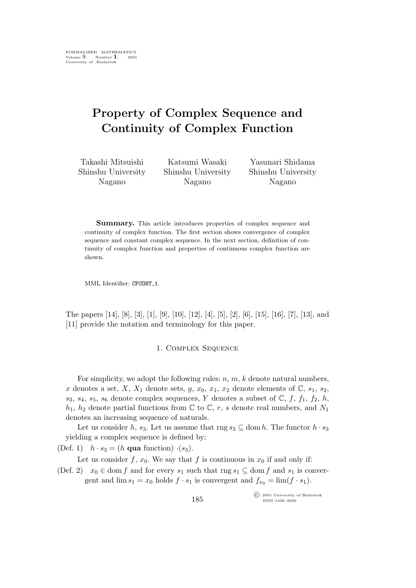# **Property of Complex Sequence and Continuity of Complex Function**

Takashi Mitsuishi Shinshu University Nagano

Katsumi Wasaki Shinshu University Nagano

Yasunari Shidama Shinshu University Nagano

**Summary.** This article introduces properties of complex sequence and continuity of complex function. The first section shows convergence of complex sequence and constant complex sequence. In the next section, definition of continuity of complex function and properties of continuous complex function are shown.

MML Identifier: CFCONT<sub>-1</sub>.

The papers [14], [8], [3], [1], [9], [10], [12], [4], [5], [2], [6], [15], [16], [7], [13], and [11] provide the notation and terminology for this paper.

#### 1. Complex Sequence

For simplicity, we adopt the following rules:  $n, m, k$  denote natural numbers, x denotes a set, X, X<sub>1</sub> denote sets,  $g, x_0, x_1, x_2$  denote elements of  $\mathbb{C}, s_1, s_2$ ,  $s_3$ ,  $s_4$ ,  $s_5$ ,  $s_6$  denote complex sequences, Y denotes a subset of C, f, f<sub>1</sub>, f<sub>2</sub>, h,  $h_1$ ,  $h_2$  denote partial functions from  $\mathbb C$  to  $\mathbb C$ , r, s denote real numbers, and  $N_1$ denotes an increasing sequence of naturals.

Let us consider h, s<sub>3</sub>. Let us assume that rng  $s_3 \subseteq \text{dom } h$ . The functor  $h \cdot s_3$ yielding a complex sequence is defined by:

(Def. 1)  $h \cdot s_3 = (h \text{ qua function}) \cdot (s_3)$ .

Let us consider f,  $x_0$ . We say that f is continuous in  $x_0$  if and only if:

(Def. 2)  $x_0 \in \text{dom } f$  and for every  $s_1$  such that  $\text{rng } s_1 \subseteq \text{dom } f$  and  $s_1$  is convergent and  $\lim s_1 = x_0$  holds  $f \cdot s_1$  is convergent and  $f_{x_0} = \lim (f \cdot s_1)$ .

> °c 2001 University of Białystok ISSN 1426–2630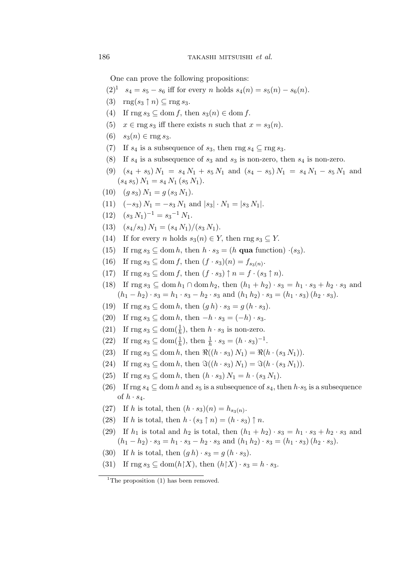One can prove the following propositions:

$$
(2)^1
$$
  $s_4 = s_5 - s_6$  iff for every *n* holds  $s_4(n) = s_5(n) - s_6(n)$ .

- $(3)$  rng $(s_3 \uparrow n) \subseteq \text{rng } s_3$ .
- (4) If  $\text{rng } s_3 \subseteq \text{dom } f$ , then  $s_3(n) \in \text{dom } f$ .
- (5)  $x \in \text{rng } s_3$  iff there exists n such that  $x = s_3(n)$ .
- $(6)$  *s*<sub>3</sub> $(n)$  ∈ rng *s*<sub>3</sub>.
- (7) If  $s_4$  is a subsequence of  $s_3$ , then rng  $s_4 \nsubseteq \text{rng } s_3$ .
- (8) If  $s_4$  is a subsequence of  $s_3$  and  $s_3$  is non-zero, then  $s_4$  is non-zero.
- (9)  $(s_4 + s_5) N_1 = s_4 N_1 + s_5 N_1$  and  $(s_4 s_5) N_1 = s_4 N_1 s_5 N_1$  and  $(s_4 s_5) N_1 = s_4 N_1 (s_5 N_1).$
- (10)  $(g s_3) N_1 = g (s_3 N_1).$
- (11)  $(-s_3) N_1 = -s_3 N_1$  and  $|s_3| \cdot N_1 = |s_3 N_1|$ .
- $(12)$   $(s_3 N_1)^{-1} = s_3^{-1} N_1.$
- (13)  $(s_4/s_3) N_1 = (s_4 N_1)/(s_3 N_1).$
- (14) If for every *n* holds  $s_3(n) \in Y$ , then rng  $s_3 \subset Y$ .
- (15) If rng  $s_3 \subseteq \text{dom } h$ , then  $h \cdot s_3 = (h \text{ qua function}) \cdot (s_3)$ .
- (16) If  $\text{rng } s_3 \subseteq \text{dom } f, \text{ then } (f \cdot s_3)(n) = f_{s_3(n)}$ .
- (17) If  $\text{rng } s_3 \subseteq \text{dom } f$ , then  $(f \cdot s_3) \uparrow n = f \cdot (s_3 \uparrow n)$ .
- (18) If  $\text{rng } s_3 \subseteq \text{dom } h_1 \cap \text{dom } h_2$ , then  $(h_1 + h_2) \cdot s_3 = h_1 \cdot s_3 + h_2 \cdot s_3$  and  $(h_1 - h_2) \cdot s_3 = h_1 \cdot s_3 - h_2 \cdot s_3$  and  $(h_1 h_2) \cdot s_3 = (h_1 \cdot s_3) (h_2 \cdot s_3)$ .
- (19) If  $\text{rng } s_3 \subseteq \text{dom } h, \text{ then } (gh) \cdot s_3 = g (h \cdot s_3).$
- (20) If rng  $s_3 \subseteq \text{dom } h$ , then  $-h \cdot s_3 = (-h) \cdot s_3$ .
- (21) If  $\text{rng } s_3 \subseteq \text{dom}(\frac{1}{h})$ , then  $h \cdot s_3$  is non-zero.
- (22) If  $\text{rng } s_3 \subseteq \text{dom}(\frac{1}{h}), \text{ then } \frac{1}{h} \cdot s_3 = (h \cdot s_3)^{-1}.$
- (23) If  $\text{rng } s_3 \subseteq \text{dom } h$ , then  $\Re((h \cdot s_3) N_1) = \Re(h \cdot (s_3 N_1)).$
- (24) If rng  $s_3$  ⊂ dom h, then  $\Im((h \cdot s_3) N_1) = \Im(h \cdot (s_3 N_1)).$
- (25) If  $\text{rng } s_3 \subseteq \text{dom } h, \text{ then } (h \cdot s_3) N_1 = h \cdot (s_3 N_1).$
- (26) If rng  $s_4 \subseteq$  dom h and  $s_5$  is a subsequence of  $s_4$ , then  $h \cdot s_5$  is a subsequence of  $h \cdot s_4$ .
- (27) If h is total, then  $(h \cdot s_3)(n) = h_{s_3(n)}$ .
- (28) If h is total, then  $h \cdot (s_3 \uparrow n) = (h \cdot s_3) \uparrow n$ .
- (29) If  $h_1$  is total and  $h_2$  is total, then  $(h_1 + h_2) \cdot s_3 = h_1 \cdot s_3 + h_2 \cdot s_3$  and  $(h_1 - h_2) \cdot s_3 = h_1 \cdot s_3 - h_2 \cdot s_3$  and  $(h_1 h_2) \cdot s_3 = (h_1 \cdot s_3) (h_2 \cdot s_3)$ .
- (30) If h is total, then  $(g h) \cdot s_3 = g (h \cdot s_3)$ .
- (31) If  $\text{rng } s_3 \subseteq \text{dom}(h \upharpoonright X)$ , then  $(h \upharpoonright X) \cdot s_3 = h \cdot s_3$ .

<sup>&</sup>lt;sup>1</sup>The proposition  $(1)$  has been removed.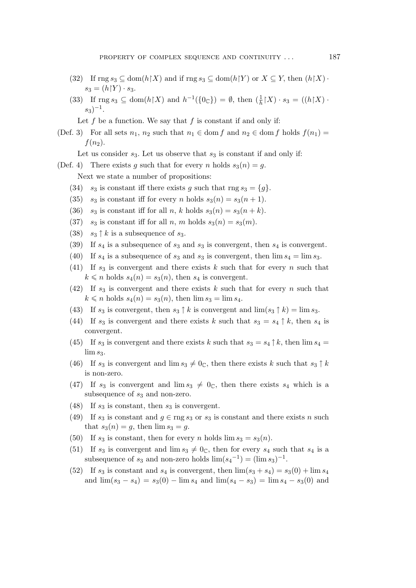- (32) If  $\text{rng } s_3 \subseteq \text{dom}(h \restriction X)$  and if  $\text{rng } s_3 \subseteq \text{dom}(h \restriction Y)$  or  $X \subseteq Y$ , then  $(h \restriction X)$ *·*  $s_3 = (h \upharpoonright Y) \cdot s_3.$
- (33) If  $\text{rng } s_3 \subseteq \text{dom}(h \upharpoonright X)$  and  $h^{-1}(\{0_\mathbb{C}\}) = \emptyset$ , then  $(\frac{1}{h} \upharpoonright X) \cdot s_3 = ((h \upharpoonright X) \cdot$ s3) *−*1 .

Let f be a function. We say that f is constant if and only if:

- (Def. 3) For all sets  $n_1, n_2$  such that  $n_1 \in \text{dom } f$  and  $n_2 \in \text{dom } f$  holds  $f(n_1) =$  $f(n_2)$ .
	- Let us consider  $s_3$ . Let us observe that  $s_3$  is constant if and only if:
- (Def. 4) There exists q such that for every n holds  $s_3(n) = q$ .

Next we state a number of propositions:

- (34)  $s_3$  is constant iff there exists g such that rng  $s_3 = \{g\}$ .
- (35)  $s_3$  is constant iff for every n holds  $s_3(n) = s_3(n+1)$ .
- (36)  $s_3$  is constant iff for all n, k holds  $s_3(n) = s_3(n + k)$ .
- (37)  $s_3$  is constant iff for all n, m holds  $s_3(n) = s_3(m)$ .
- (38)  $s_3 \uparrow k$  is a subsequence of  $s_3$ .
- (39) If  $s_4$  is a subsequence of  $s_3$  and  $s_3$  is convergent, then  $s_4$  is convergent.
- (40) If  $s_4$  is a subsequence of  $s_3$  and  $s_3$  is convergent, then  $\lim s_4 = \lim s_3$ .
- (41) If  $s_3$  is convergent and there exists k such that for every n such that  $k \leq n$  holds  $s_4(n) = s_3(n)$ , then  $s_4$  is convergent.
- (42) If  $s_3$  is convergent and there exists k such that for every n such that  $k \leq n$  holds  $s_4(n) = s_3(n)$ , then  $\lim s_3 = \lim s_4$ .
- (43) If  $s_3$  is convergent, then  $s_3 \uparrow k$  is convergent and  $\lim(s_3 \uparrow k) = \lim s_3$ .
- (44) If  $s_3$  is convergent and there exists k such that  $s_3 = s_4 \uparrow k$ , then  $s_4$  is convergent.
- (45) If  $s_3$  is convergent and there exists k such that  $s_3 = s_4 \uparrow k$ , then  $\lim s_4 =$  $\lim s_3$ .
- (46) If  $s_3$  is convergent and  $\lim s_3 \neq 0_\mathbb{C}$ , then there exists k such that  $s_3 \uparrow k$ is non-zero.
- (47) If  $s_3$  is convergent and  $\lim s_3 \neq 0_\mathbb{C}$ , then there exists  $s_4$  which is a subsequence of  $s_3$  and non-zero.
- (48) If  $s_3$  is constant, then  $s_3$  is convergent.
- (49) If  $s_3$  is constant and  $g \in \text{rng } s_3$  or  $s_3$  is constant and there exists n such that  $s_3(n) = g$ , then  $\lim s_3 = g$ .
- (50) If  $s_3$  is constant, then for every n holds  $\lim s_3 = s_3(n)$ .
- (51) If  $s_3$  is convergent and  $\lim s_3 \neq 0$ , then for every  $s_4$  such that  $s_4$  is a subsequence of  $s_3$  and non-zero holds  $\lim(s_4^{-1}) = (\lim s_3)^{-1}$ .
- (52) If  $s_3$  is constant and  $s_4$  is convergent, then  $\lim(s_3 + s_4) = s_3(0) + \lim s_4$ and  $\lim(s_3 - s_4) = s_3(0) - \lim s_4$  and  $\lim(s_4 - s_3) = \lim s_4 - s_3(0)$  and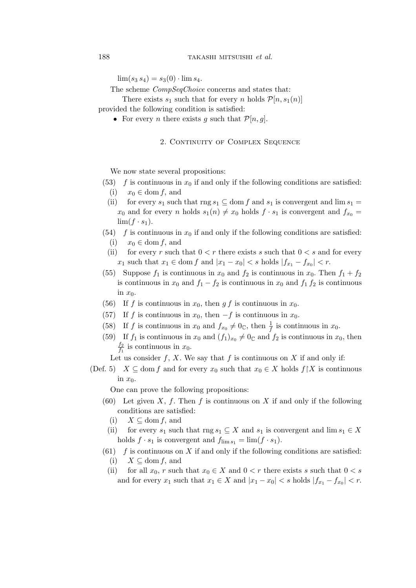$\lim(s_3 s_4) = s_3(0) \cdot \lim s_4.$ 

The scheme *CompSeqChoice* concerns and states that:

There exists  $s_1$  such that for every *n* holds  $\mathcal{P}[n,s_1(n)]$ 

provided the following condition is satisfied:

• For every *n* there exists g such that  $\mathcal{P}[n, g]$ .

## 2. CONTINUITY OF COMPLEX SEQUENCE

We now state several propositions:

- (53) f is continuous in  $x_0$  if and only if the following conditions are satisfied: (i)  $x_0 \in \text{dom } f$ , and
	- (ii) for every  $s_1$  such that rng  $s_1 \subseteq$  dom f and  $s_1$  is convergent and  $\lim s_1 =$  $x_0$  and for every n holds  $s_1(n) \neq x_0$  holds  $f \cdot s_1$  is convergent and  $f_{x_0} =$  $\lim(f \cdot s_1)$ .
- (54) f is continuous in  $x_0$  if and only if the following conditions are satisfied: (i)  $x_0 \in \text{dom } f$ , and
	- (ii) for every r such that  $0 < r$  there exists s such that  $0 < s$  and for every  $x_1$  such that  $x_1 \in \text{dom } f$  and  $|x_1 - x_0| < s$  holds  $|f_{x_1} - f_{x_0}| < r$ .
- (55) Suppose  $f_1$  is continuous in  $x_0$  and  $f_2$  is continuous in  $x_0$ . Then  $f_1 + f_2$ is continuous in  $x_0$  and  $f_1 - f_2$  is continuous in  $x_0$  and  $f_1 f_2$  is continuous in  $x_0$ .
- (56) If f is continuous in  $x_0$ , then g f is continuous in  $x_0$ .
- (57) If f is continuous in  $x_0$ , then  $-f$  is continuous in  $x_0$ .
- (58) If f is continuous in  $x_0$  and  $f_{x_0} \neq 0_\mathbb{C}$ , then  $\frac{1}{f}$  is continuous in  $x_0$ .
- (59) If  $f_1$  is continuous in  $x_0$  and  $(f_1)_{x_0} \neq 0_{\mathbb{C}}$  and  $f_2$  is continuous in  $x_0$ , then  $f<sub>2</sub>$  $\frac{J_2}{f_1}$  is continuous in  $x_0$ .

Let us consider f, X. We say that f is continuous on X if and only if:

(Def. 5)  $X \subseteq \text{dom } f$  and for every  $x_0$  such that  $x_0 \in X$  holds  $f \upharpoonright X$  is continuous in  $x_0$ .

One can prove the following propositions:

- (60) Let given X, f. Then f is continuous on X if and only if the following conditions are satisfied:
	- (i)  $X \subseteq$  dom f, and
	- (ii) for every  $s_1$  such that rng  $s_1 \subseteq X$  and  $s_1$  is convergent and  $\lim s_1 \in X$ holds  $f \cdot s_1$  is convergent and  $f_{\lim s_1} = \lim (f \cdot s_1)$ .
- $(61)$  f is continuous on X if and only if the following conditions are satisfied: (i)  $X \subseteq \text{dom } f$ , and
	- (ii) for all  $x_0$ , r such that  $x_0 \in X$  and  $0 < r$  there exists s such that  $0 < s$ and for every  $x_1$  such that  $x_1 \in X$  and  $|x_1 - x_0| < s$  holds  $|f_{x_1} - f_{x_0}| < r$ .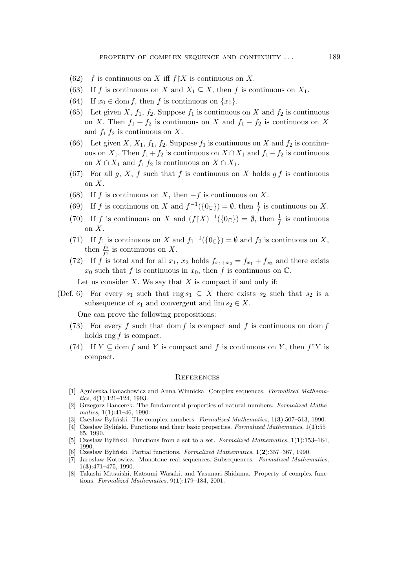- (62) f is continuous on X iff  $f \upharpoonright X$  is continuous on X.
- (63) If f is continuous on X and  $X_1 \subseteq X$ , then f is continuous on  $X_1$ .
- (64) If  $x_0 \in \text{dom } f$ , then f is continuous on  $\{x_0\}$ .
- (65) Let given X,  $f_1$ ,  $f_2$ . Suppose  $f_1$  is continuous on X and  $f_2$  is continuous on X. Then  $f_1 + f_2$  is continuous on X and  $f_1 - f_2$  is continuous on X and  $f_1 f_2$  is continuous on X.
- (66) Let given X,  $X_1$ ,  $f_1$ ,  $f_2$ . Suppose  $f_1$  is continuous on X and  $f_2$  is continuous on  $X_1$ . Then  $f_1 + f_2$  is continuous on  $X \cap X_1$  and  $f_1 - f_2$  is continuous on  $X \cap X_1$  and  $f_1 f_2$  is continuous on  $X \cap X_1$ .
- (67) For all g, X, f such that f is continuous on X holds g f is continuous on  $X$ .
- (68) If f is continuous on X, then *−*f is continuous on X.
- (69) If f is continuous on X and  $f^{-1}(\{0_\mathbb{C}\}) = \emptyset$ , then  $\frac{1}{f}$  is continuous on X.
- (70) If f is continuous on X and  $(f \upharpoonright X)^{-1}(\lbrace 0 \in \rbrace) = \emptyset$ , then  $\frac{1}{f}$  is continuous on  $X$ .
- (71) If  $f_1$  is continuous on X and  $f_1^{-1}(\{0_\mathbb{C}\}) = \emptyset$  and  $f_2$  is continuous on X, then  $\frac{f_2}{f_1}$  is continuous on X.
- (72) If f is total and for all  $x_1, x_2$  holds  $f_{x_1+x_2} = f_{x_1} + f_{x_2}$  and there exists  $x_0$  such that f is continuous in  $x_0$ , then f is continuous on  $\mathbb{C}$ .
	- Let us consider  $X$ . We say that  $X$  is compact if and only if:
- (Def. 6) For every  $s_1$  such that rng  $s_1 \subseteq X$  there exists  $s_2$  such that  $s_2$  is a subsequence of  $s_1$  and convergent and  $\lim s_2 \in X$ .

One can prove the following propositions:

- (73) For every f such that dom f is compact and f is continuous on dom f holds rng  $f$  is compact.
- (74) If  $Y \subseteq \text{dom } f$  and Y is compact and f is continuous on Y, then  $f \circ Y$  is compact.

#### **REFERENCES**

- [1] Agnieszka Banachowicz and Anna Winnicka. Complex sequences. *Formalized Mathematics*, 4(**1**):121–124, 1993.
- [2] Grzegorz Bancerek. The fundamental properties of natural numbers. *Formalized Mathematics*, 1(**1**):41–46, 1990.
- [3] Czesław Byliński. The complex numbers. *Formalized Mathematics*, 1(**3**):507–513, 1990.
- [4] Czesław Byliński. Functions and their basic properties. *Formalized Mathematics*, 1(**1**):55– 65, 1990.
- [5] Czesław Byliński. Functions from a set to a set. *Formalized Mathematics*, 1(**1**):153–164, 1990.
- [6] Czesław Byliński. Partial functions. *Formalized Mathematics*, 1(**2**):357–367, 1990.
- [7] Jarosław Kotowicz. Monotone real sequences. Subsequences. *Formalized Mathematics*, 1(**3**):471–475, 1990.
- [8] Takashi Mitsuishi, Katsumi Wasaki, and Yasunari Shidama. Property of complex functions. *Formalized Mathematics*, 9(**1**):179–184, 2001.